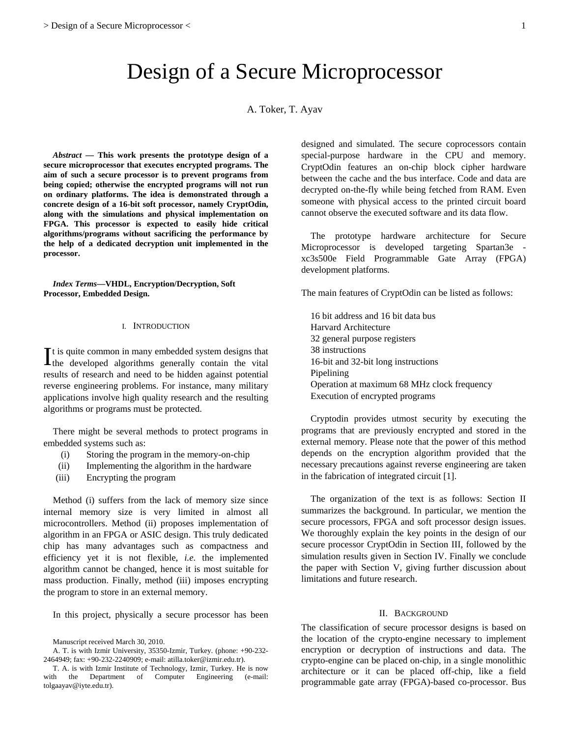# Design of a Secure Microprocessor

A. Toker, T. Ayav

*Abstract* **— This work presents the prototype design of a secure microprocessor that executes encrypted programs. The aim of such a secure processor is to prevent programs from being copied; otherwise the encrypted programs will not run on ordinary platforms. The idea is demonstrated through a concrete design of a 16-bit soft processor, namely CryptOdin, along with the simulations and physical implementation on FPGA. This processor is expected to easily hide critical algorithms/programs without sacrificing the performance by the help of a dedicated decryption unit implemented in the processor.** 

*Index Terms***—VHDL, Encryption/Decryption, Soft Processor, Embedded Design.** 

# I. INTRODUCTION

t is quite common in many embedded system designs that  $\prod$ t is quite common in many embedded system designs that the developed algorithms generally contain the vital results of research and need to be hidden against potential reverse engineering problems. For instance, many military applications involve high quality research and the resulting algorithms or programs must be protected.

There might be several methods to protect programs in embedded systems such as:

- (i) Storing the program in the memory-on-chip
- (ii) Implementing the algorithm in the hardware
- (iii) Encrypting the program

Method (i) suffers from the lack of memory size since internal memory size is very limited in almost all microcontrollers. Method (ii) proposes implementation of algorithm in an FPGA or ASIC design. This truly dedicated chip has many advantages such as compactness and efficiency yet it is not flexible, *i.e.* the implemented algorithm cannot be changed, hence it is most suitable for mass production. Finally, method (iii) imposes encrypting the program to store in an external memory.

In this project, physically a secure processor has been

designed and simulated. The secure coprocessors contain special-purpose hardware in the CPU and memory. CryptOdin features an on-chip block cipher hardware between the cache and the bus interface. Code and data are decrypted on-the-fly while being fetched from RAM. Even someone with physical access to the printed circuit board cannot observe the executed software and its data flow.

The prototype hardware architecture for Secure Microprocessor is developed targeting Spartan3e xc3s500e Field Programmable Gate Array (FPGA) development platforms.

The main features of CryptOdin can be listed as follows:

16 bit address and 16 bit data bus Harvard Architecture 32 general purpose registers 38 instructions 16-bit and 32-bit long instructions Pipelining Operation at maximum 68 MHz clock frequency Execution of encrypted programs

Cryptodin provides utmost security by executing the programs that are previously encrypted and stored in the external memory. Please note that the power of this method depends on the encryption algorithm provided that the necessary precautions against reverse engineering are taken in the fabrication of integrated circuit [1].

 The organization of the text is as follows: Section II summarizes the background. In particular, we mention the secure processors, FPGA and soft processor design issues. We thoroughly explain the key points in the design of our secure processor CryptOdin in Section III, followed by the simulation results given in Section IV. Finally we conclude the paper with Section V, giving further discussion about limitations and future research.

# II. BACKGROUND

The classification of secure processor designs is based on the location of the crypto-engine necessary to implement encryption or decryption of instructions and data. The crypto-engine can be placed on-chip, in a single monolithic architecture or it can be placed off-chip, like a field programmable gate array (FPGA)-based co-processor. Bus

Manuscript received March 30, 2010.

A. T. is with Izmir University, 35350-Izmir, Turkey. (phone: +90-232- 2464949; fax: +90-232-2240909; e-mail: atilla.toker@izmir.edu.tr).

T. A. is with Izmir Institute of Technology, Izmir, Turkey. He is now with the Department of Computer Engineering (e-mail: tolgaayav@iyte.edu.tr).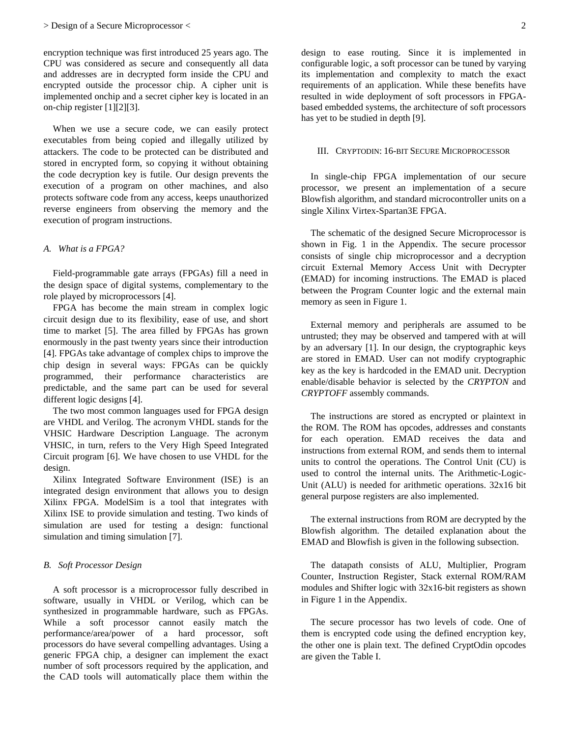encryption technique was first introduced 25 years ago. The CPU was considered as secure and consequently all data and addresses are in decrypted form inside the CPU and encrypted outside the processor chip. A cipher unit is implemented onchip and a secret cipher key is located in an on-chip register [1][2][3].

When we use a secure code, we can easily protect executables from being copied and illegally utilized by attackers. The code to be protected can be distributed and stored in encrypted form, so copying it without obtaining the code decryption key is futile. Our design prevents the execution of a program on other machines, and also protects software code from any access, keeps unauthorized reverse engineers from observing the memory and the execution of program instructions.

# *A. What is a FPGA?*

Field-programmable gate arrays (FPGAs) fill a need in the design space of digital systems, complementary to the role played by microprocessors [4].

FPGA has become the main stream in complex logic circuit design due to its flexibility, ease of use, and short time to market [5]. The area filled by FPGAs has grown enormously in the past twenty years since their introduction [4]. FPGAs take advantage of complex chips to improve the chip design in several ways: FPGAs can be quickly programmed, their performance characteristics are predictable, and the same part can be used for several different logic designs [4].

The two most common languages used for FPGA design are VHDL and Verilog. The acronym VHDL stands for the VHSIC Hardware Description Language. The acronym VHSIC, in turn, refers to the Very High Speed Integrated Circuit program [6]. We have chosen to use VHDL for the design.

Xilinx Integrated Software Environment (ISE) is an integrated design environment that allows you to design Xilinx FPGA. ModelSim is a tool that integrates with Xilinx ISE to provide simulation and testing. Two kinds of simulation are used for testing a design: functional simulation and timing simulation [7].

# *B. Soft Processor Design*

A soft processor is a microprocessor fully described in software, usually in VHDL or Verilog, which can be synthesized in programmable hardware, such as FPGAs. While a soft processor cannot easily match the performance/area/power of a hard processor, soft processors do have several compelling advantages. Using a generic FPGA chip, a designer can implement the exact number of soft processors required by the application, and the CAD tools will automatically place them within the

design to ease routing. Since it is implemented in configurable logic, a soft processor can be tuned by varying its implementation and complexity to match the exact requirements of an application. While these benefits have resulted in wide deployment of soft processors in FPGAbased embedded systems, the architecture of soft processors has yet to be studied in depth [9].

### III. CRYPTODIN: 16-BIT SECURE MICROPROCESSOR

In single-chip FPGA implementation of our secure processor, we present an implementation of a secure Blowfish algorithm, and standard microcontroller units on a single Xilinx Virtex-Spartan3E FPGA.

The schematic of the designed Secure Microprocessor is shown in Fig. 1 in the Appendix. The secure processor consists of single chip microprocessor and a decryption circuit External Memory Access Unit with Decrypter (EMAD) for incoming instructions. The EMAD is placed between the Program Counter logic and the external main memory as seen in Figure 1.

External memory and peripherals are assumed to be untrusted; they may be observed and tampered with at will by an adversary [1]. In our design, the cryptographic keys are stored in EMAD. User can not modify cryptographic key as the key is hardcoded in the EMAD unit. Decryption enable/disable behavior is selected by the *CRYPTON* and *CRYPTOFF* assembly commands.

The instructions are stored as encrypted or plaintext in the ROM. The ROM has opcodes, addresses and constants for each operation. EMAD receives the data and instructions from external ROM, and sends them to internal units to control the operations. The Control Unit (CU) is used to control the internal units. The Arithmetic-Logic-Unit (ALU) is needed for arithmetic operations. 32x16 bit general purpose registers are also implemented.

The external instructions from ROM are decrypted by the Blowfish algorithm. The detailed explanation about the EMAD and Blowfish is given in the following subsection.

The datapath consists of ALU, Multiplier, Program Counter, Instruction Register, Stack external ROM/RAM modules and Shifter logic with 32x16-bit registers as shown in Figure 1 in the Appendix.

The secure processor has two levels of code. One of them is encrypted code using the defined encryption key, the other one is plain text. The defined CryptOdin opcodes are given the Table I.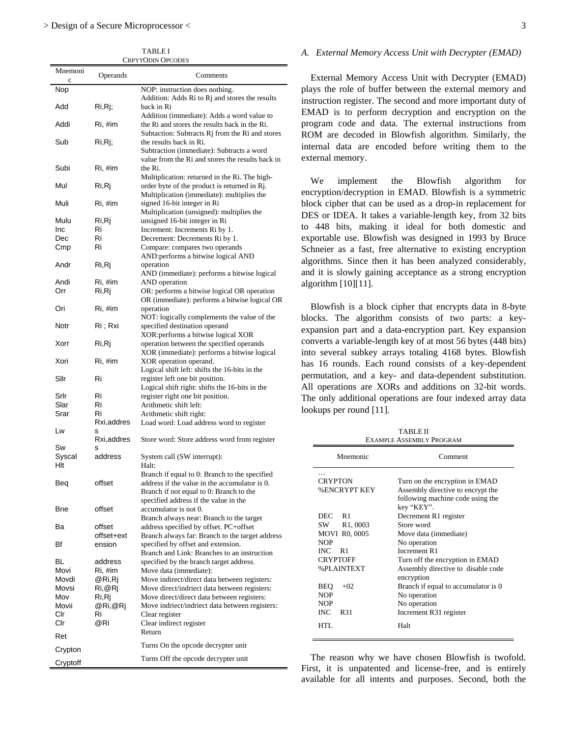TABLE I CRPYTODIN OPCODES

| Mnemoni<br>c | Operands     | Comments                                                                                                                                       |
|--------------|--------------|------------------------------------------------------------------------------------------------------------------------------------------------|
| Nop          |              | NOP: instruction does nothing.<br>Addition: Adds Ri to Rj and stores the results                                                               |
| Add          | Ri,Rj;       | back in Ri                                                                                                                                     |
| Addi         | Ri, #im      | Addition (immediate): Adds a word value to<br>the Ri and stores the results back in the Ri.<br>Subtaction: Subtracts Rj from the Ri and stores |
| Sub          | Ri,Rj;       | the results back in Ri.<br>Subtraction (immediate): Subtracts a word                                                                           |
|              |              | value from the Ri and stores the results back in                                                                                               |
| Subi         | Ri, #im      | the Ri.<br>Multiplication: returned in the Ri. The high-                                                                                       |
| Mul          | Ri,Rj        | order byte of the product is returned in Rj.<br>Multiplication (immediate): multiplies the                                                     |
| Muli         | Ri, #im      | signed 16-bit integer in Ri<br>Multiplication (unsigned): multiplies the                                                                       |
| Mulu         | Ri,Rj        | unsigned 16-bit integer in Ri                                                                                                                  |
| Inc          | Ri           | Increment: Increments Ri by 1.                                                                                                                 |
| Dec          | Ri           | Decrement: Decrements Ri by 1.                                                                                                                 |
| Cmp          | Ri           | Compare: compares two operands<br>AND: performs a bitwise logical AND                                                                          |
| Andr         | Ri,Rj        | operation<br>AND (immediate): performs a bitwise logical                                                                                       |
| Andi         | Ri, #im      | AND operation                                                                                                                                  |
| Orr          | Ri,Rj        | OR: performs a bitwise logical OR operation<br>OR (immediate): performs a bitwise logical OR                                                   |
| Ori          | Ri, #im      | operation<br>NOT: logically complements the value of the                                                                                       |
| Notr         | Ri ; Rxi     | specified destination operand<br>XOR: performs a bitwise logical XOR                                                                           |
| Xorr         | Ri,Rj        | operation between the specified operands                                                                                                       |
| Xori         | Ri, #im      | XOR (immediate): performs a bitwise logical<br>XOR operation operand.                                                                          |
| Sllr         | Ri           | Logical shift left: shifts the 16-bits in the<br>register left one bit position.                                                               |
| Srlr         | Ri           | Logical shift right: shifts the 16-bits in the                                                                                                 |
| Slar         | Ri           | register right one bit position.<br>Arithmetic shift left:                                                                                     |
| Srar         | Ri           | Arithmetic shift right:                                                                                                                        |
|              | Rxi, addres  | Load word: Load address word to register                                                                                                       |
| Lw           | s            |                                                                                                                                                |
| Sw           | Rxi,addres   | Store word: Store address word from register                                                                                                   |
| Syscal       | s<br>address | System call (SW interrupt):                                                                                                                    |
| Hlt          |              | Halt:                                                                                                                                          |
| Beq          | offset       | Branch if equal to 0: Branch to the specified<br>address if the value in the accumulator is 0.                                                 |
|              |              | Branch if not equal to 0: Branch to the<br>specified address if the value in the                                                               |
| Bne          | offset       | accumulator is not 0.                                                                                                                          |
| Вa           | offset       | Branch always near: Branch to the target<br>address specified by offset. PC+offset                                                             |
|              | offset+ext   | Branch always far: Branch to the target address                                                                                                |
| Bf           | ension       | specified by offset and extension.<br>Branch and Link: Branches to an instruction                                                              |
| BL           | address      | specified by the branch target address.                                                                                                        |
| Movi         | Ri, #im      | Move data (immediate):                                                                                                                         |
| Movdi        | @Ri,Rj       | Move indirect/direct data between registers:                                                                                                   |
| Movsi        | Ri,@Rj       | Move direct/indriect data between registers:                                                                                                   |
| Mov          | Ri,Rj        | Move direct/direct data between registers:                                                                                                     |
| Movii        | @Ri,@Rj      | Move indriect/indriect data between registers:                                                                                                 |
| Clr          | Ri           | Clear register                                                                                                                                 |
| Clr          | @Ri          | Clear indirect register<br>Return                                                                                                              |
| Ret          |              |                                                                                                                                                |
| Crypton      |              | Turns On the opcode decrypter unit                                                                                                             |
| Cryptoff     |              | Turns Off the opcode decrypter unit                                                                                                            |

#### *A. External Memory Access Unit with Decrypter (EMAD)*

External Memory Access Unit with Decrypter (EMAD) plays the role of buffer between the external memory and instruction register. The second and more important duty of EMAD is to perform decryption and encryption on the program code and data. The external instructions from ROM are decoded in Blowfish algorithm. Similarly, the internal data are encoded before writing them to the external memory.

We implement the Blowfish algorithm for encryption/decryption in EMAD. Blowfish is a symmetric block cipher that can be used as a drop-in replacement for DES or IDEA. It takes a variable-length key, from 32 bits to 448 bits, making it ideal for both domestic and exportable use. Blowfish was designed in 1993 by Bruce Schneier as a fast, free alternative to existing encryption algorithms. Since then it has been analyzed considerably, and it is slowly gaining acceptance as a strong encryption algorithm [10][11].

Blowfish is a block cipher that encrypts data in 8-byte blocks. The algorithm consists of two parts: a keyexpansion part and a data-encryption part. Key expansion converts a variable-length key of at most 56 bytes (448 bits) into several subkey arrays totaling 4168 bytes. Blowfish has 16 rounds. Each round consists of a key-dependent permutation, and a key- and data-dependent substitution. All operations are XORs and additions on 32-bit words. The only additional operations are four indexed array data lookups per round [11].

| <b>TABLE II</b>          |
|--------------------------|
| EXAMPLE ASSEMBLY PROGRAM |

| Mnemonic             | Comment                                          |
|----------------------|--------------------------------------------------|
| <b>CRYPTON</b>       | Turn on the encryption in EMAD                   |
| <b>%ENCRYPT KEY</b>  | Assembly directive to encrypt the                |
|                      | following machine code using the<br>key "KEY".   |
| DEC R1               | Decrement R1 register                            |
| SW R1,0003           | Store word                                       |
| <b>MOVI R0,0005</b>  | Move data (immediate)                            |
| <b>NOP</b>           | No operation                                     |
| $INC$ R <sub>1</sub> | Increment R1                                     |
| <b>CRYPTOFF</b>      | Turn off the encryption in EMAD                  |
| <b>%PLAINTEXT</b>    | Assembly directive to disable code<br>encryption |
| BEO<br>$+02$         | Branch if equal to accumulator is 0              |
| <b>NOP</b>           | No operation                                     |
| <b>NOP</b>           | No operation                                     |
| <b>INC</b><br>R31    | Increment R31 register                           |
| HTL.                 | Halt                                             |

 The reason why we have chosen Blowfish is twofold. First, it is unpatented and license-free, and is entirely available for all intents and purposes. Second, both the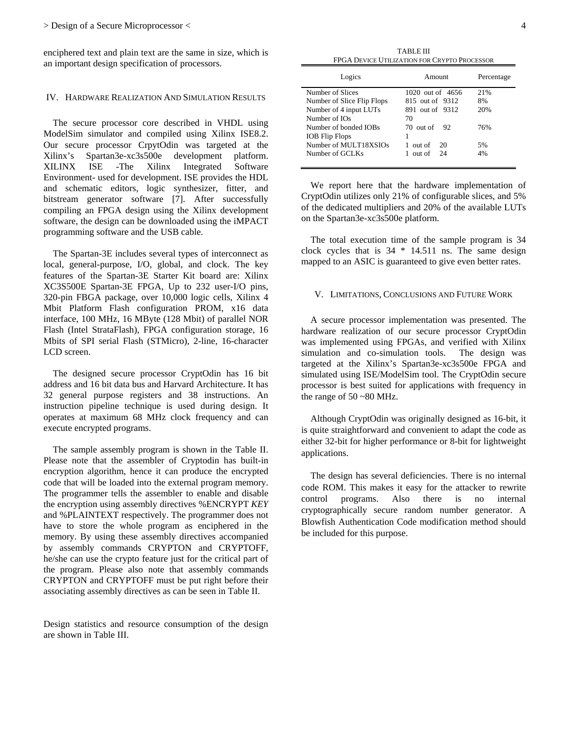enciphered text and plain text are the same in size, which is an important design specification of processors.

# IV. HARDWARE REALIZATION AND SIMULATION RESULTS

 The secure processor core described in VHDL using ModelSim simulator and compiled using Xilinx ISE8.2. Our secure processor CrpytOdin was targeted at the Xilinx's Spartan3e-xc3s500e development platform. XILINX ISE -The Xilinx Integrated Software Environment- used for development. ISE provides the HDL and schematic editors, logic synthesizer, fitter, and bitstream generator software [7]. After successfully compiling an FPGA design using the Xilinx development software, the design can be downloaded using the iMPACT programming software and the USB cable.

 The Spartan-3E includes several types of interconnect as local, general-purpose, I/O, global, and clock. The key features of the Spartan-3E Starter Kit board are: Xilinx XC3S500E Spartan-3E FPGA, Up to 232 user-I/O pins, 320-pin FBGA package, over 10,000 logic cells, Xilinx 4 Mbit Platform Flash configuration PROM, x16 data interface, 100 MHz, 16 MByte (128 Mbit) of parallel NOR Flash (Intel StrataFlash), FPGA configuration storage, 16 Mbits of SPI serial Flash (STMicro), 2-line, 16-character LCD screen.

 The designed secure processor CryptOdin has 16 bit address and 16 bit data bus and Harvard Architecture. It has 32 general purpose registers and 38 instructions. An instruction pipeline technique is used during design. It operates at maximum 68 MHz clock frequency and can execute encrypted programs.

 The sample assembly program is shown in the Table II. Please note that the assembler of Cryptodin has built-in encryption algorithm, hence it can produce the encrypted code that will be loaded into the external program memory. The programmer tells the assembler to enable and disable the encryption using assembly directives %ENCRYPT *KEY*  and %PLAINTEXT respectively. The programmer does not have to store the whole program as enciphered in the memory. By using these assembly directives accompanied by assembly commands CRYPTON and CRYPTOFF, he/she can use the crypto feature just for the critical part of the program. Please also note that assembly commands CRYPTON and CRYPTOFF must be put right before their associating assembly directives as can be seen in Table II.

Design statistics and resource consumption of the design are shown in Table III.

| <b>TABLE III</b>                             |
|----------------------------------------------|
| FPGA DEVICE UTILIZATION FOR CRYPTO PROCESSOR |

| Logics                     | Amount           | Percentage |
|----------------------------|------------------|------------|
| Number of Slices           | 1020 out of 4656 | 21%        |
| Number of Slice Flip Flops | 815 out of 9312  | 8%         |
| Number of 4 input LUTs     | 891 out of 9312  | 20%        |
| Number of IOs              | 70               |            |
| Number of bonded IOBs      | 70 out of<br>92  | 76%        |
| <b>IOB</b> Flip Flops      | 1                |            |
| Number of MULT18XSIOs      | out of<br>20     | 5%         |
| Number of GCLKs            | out of<br>- 24   | 4%         |

 We report here that the hardware implementation of CryptOdin utilizes only 21% of configurable slices, and 5% of the dedicated multipliers and 20% of the available LUTs on the Spartan3e-xc3s500e platform.

 The total execution time of the sample program is 34 clock cycles that is 34 \* 14.511 ns. The same design mapped to an ASIC is guaranteed to give even better rates.

# V. LIMITATIONS, CONCLUSIONS AND FUTURE WORK

 A secure processor implementation was presented. The hardware realization of our secure processor CryptOdin was implemented using FPGAs, and verified with Xilinx simulation and co-simulation tools. The design was targeted at the Xilinx's Spartan3e-xc3s500e FPGA and simulated using ISE/ModelSim tool. The CryptOdin secure processor is best suited for applications with frequency in the range of  $50 - 80$  MHz.

 Although CryptOdin was originally designed as 16-bit, it is quite straightforward and convenient to adapt the code as either 32-bit for higher performance or 8-bit for lightweight applications.

The design has several deficiencies. There is no internal code ROM. This makes it easy for the attacker to rewrite control programs. Also there is no internal cryptographically secure random number generator. A Blowfish Authentication Code modification method should be included for this purpose.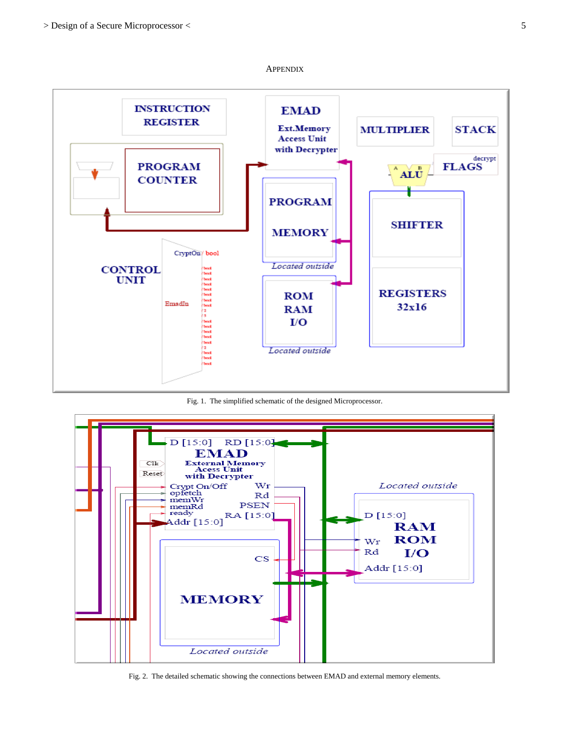

**APPENDIX** 

Fig. 1. The simplified schematic of the designed Microprocessor.



Fig. 2. The detailed schematic showing the connections between EMAD and external memory elements.